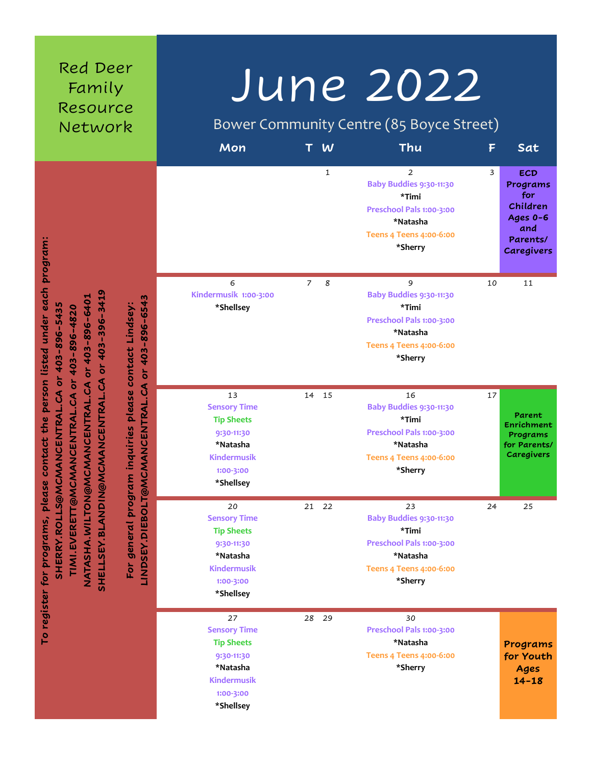| Red Deer<br>Family<br>Resource<br>Network                                                                                                                                                                                                                                                                                                                                                                            |                                                                                                                          |                     | June 2022<br>Bower Community Centre (85 Boyce Street)                                                                                   |                                                                                                    |
|----------------------------------------------------------------------------------------------------------------------------------------------------------------------------------------------------------------------------------------------------------------------------------------------------------------------------------------------------------------------------------------------------------------------|--------------------------------------------------------------------------------------------------------------------------|---------------------|-----------------------------------------------------------------------------------------------------------------------------------------|----------------------------------------------------------------------------------------------------|
|                                                                                                                                                                                                                                                                                                                                                                                                                      | Mon                                                                                                                      | T W                 | Thu                                                                                                                                     | F<br>Sat                                                                                           |
| contact the person listed under each program:<br>SHELLSEY.BLANDIN@MCMANCENTRAL.CA or 403-396-3419<br>NATASHA.WILTON@MCMANCENTRAL.CA or 403-896-6401<br>or 403-896-6543<br>MANCENTRAL.CA or 403-896-5435<br>inquiries please contact Lindsey:<br>TIMI.EVERETT@MCMANCENTRAL.CA or 403-896-4820<br>LINDSEY.DIEBOLT@MCMANCENTRAL.CA<br>For general program<br><b>SHERRY.ROLLS@MC</b><br>To register for programs, please |                                                                                                                          | $\mathbf{1}$        | $\overline{2}$<br>Baby Buddies 9:30-11:30<br>*Timi<br>Preschool Pals 1:00-3:00<br>*Natasha<br><b>Teens 4 Teens 4:00-6:00</b><br>*Sherry | 3<br><b>ECD</b><br>Programs<br>for<br>Children<br>Ages 0-6<br>and<br>Parents/<br><b>Caregivers</b> |
|                                                                                                                                                                                                                                                                                                                                                                                                                      | 6<br>Kindermusik 1:00-3:00<br>*Shellsey                                                                                  | $\overline{7}$<br>8 | 9<br>Baby Buddies 9:30-11:30<br>*Timi<br>Preschool Pals 1:00-3:00<br>*Natasha<br><b>Teens 4 Teens 4:00-6:00</b><br>*Sherry              | 10<br>11                                                                                           |
|                                                                                                                                                                                                                                                                                                                                                                                                                      | 13<br><b>Sensory Time</b><br><b>Tip Sheets</b><br>9:30-11:30<br>*Natasha<br><b>Kindermusik</b><br>1:00-3:00<br>*Shellsey | 14 15               | 16<br>Baby Buddies 9:30-11:30<br>*Timi<br>Preschool Pals 1:00-3:00<br>*Natasha<br><b>Teens 4 Teens 4:00-6:00</b><br>*Sherry             | 17<br>Parent<br>Enrichment<br>Programs<br>for Parents/<br><b>Caregivers</b>                        |
|                                                                                                                                                                                                                                                                                                                                                                                                                      | 20<br><b>Sensory Time</b><br><b>Tip Sheets</b><br>9:30-11:30<br>*Natasha<br><b>Kindermusik</b><br>1:00-3:00<br>*Shellsey | 21 22               | 23<br>Baby Buddies 9:30-11:30<br>*Timi<br>Preschool Pals 1:00-3:00<br>*Natasha<br><b>Teens 4 Teens 4:00-6:00</b><br>*Sherry             | 24<br>25                                                                                           |
|                                                                                                                                                                                                                                                                                                                                                                                                                      | 27<br><b>Sensory Time</b><br><b>Tip Sheets</b><br>9:30-11:30<br>*Natasha<br><b>Kindermusik</b><br>1:00-3:00<br>*Shellsey | 28<br>29            | 30<br>Preschool Pals 1:00-3:00<br>*Natasha<br><b>Teens 4 Teens 4:00-6:00</b><br>*Sherry                                                 | <b>Programs</b><br>for Youth<br><b>Ages</b><br>$14 - 18$                                           |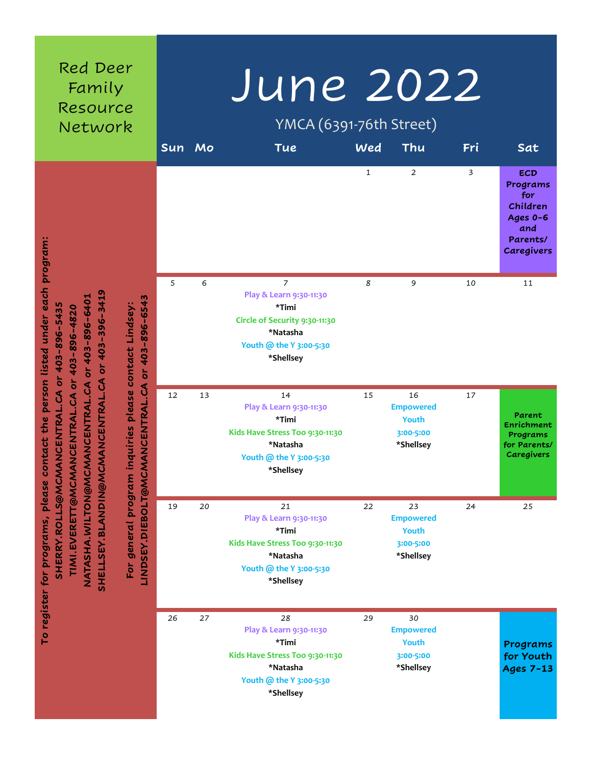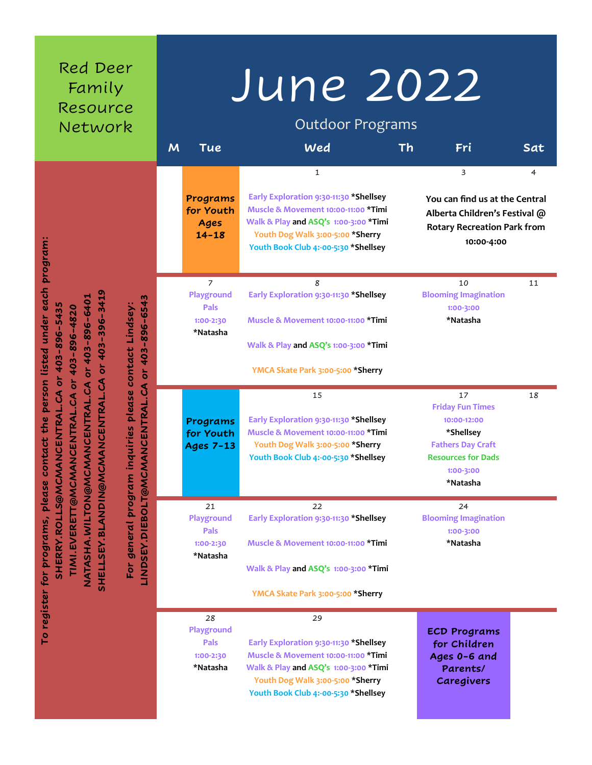| Red Deer<br>Family<br>Resource                                                                                                                                                                                                                                                                     |  | June 2022                                        |                                                          |                                                                                                                                                                                                     |                           |                                                                                                                     |                |  |  |
|----------------------------------------------------------------------------------------------------------------------------------------------------------------------------------------------------------------------------------------------------------------------------------------------------|--|--------------------------------------------------|----------------------------------------------------------|-----------------------------------------------------------------------------------------------------------------------------------------------------------------------------------------------------|---------------------------|---------------------------------------------------------------------------------------------------------------------|----------------|--|--|
| Network                                                                                                                                                                                                                                                                                            |  | Outdoor Programs                                 |                                                          |                                                                                                                                                                                                     |                           |                                                                                                                     |                |  |  |
|                                                                                                                                                                                                                                                                                                    |  | M                                                | <b>Tue</b>                                               | Wed                                                                                                                                                                                                 | Th                        | Fri                                                                                                                 | Sat            |  |  |
|                                                                                                                                                                                                                                                                                                    |  |                                                  |                                                          | 1                                                                                                                                                                                                   |                           | 3                                                                                                                   | $\overline{4}$ |  |  |
|                                                                                                                                                                                                                                                                                                    |  |                                                  | <b>Programs</b><br>for Youth<br><b>Ages</b><br>$14 - 18$ | Early Exploration 9:30-11:30 *Shellsey<br>Muscle & Movement 10:00-11:00 * Timi<br>Walk & Play and ASQ's 1:00-3:00 *Timi<br>Youth Dog Walk 3:00-5:00 *Sherry<br>Youth Book Club 4:-00-5:30 *Shellsey |                           | You can find us at the Central<br>Alberta Children's Festival @<br><b>Rotary Recreation Park from</b><br>10:00-4:00 |                |  |  |
|                                                                                                                                                                                                                                                                                                    |  |                                                  | $\overline{7}$                                           | 8                                                                                                                                                                                                   |                           | 10                                                                                                                  | 11             |  |  |
| under each program:<br>or 403-396-3419<br>896-6401<br>or 403-896-6543<br>general program inquiries please contact Lindsey:<br>$-896 - 5435$<br>4820<br>896-<br>403<br>contact the person listed<br>403<br>ð<br>ð<br><b>MCMANCENTRAL.CA</b><br>CMANCENTRAL.CA<br>$\mathcal{L}$<br><b>MANCENTRAL</b> |  |                                                  | Playground<br>Pals                                       | Early Exploration 9:30-11:30 *Shellsey                                                                                                                                                              |                           | <b>Blooming Imagination</b><br>1:00-3:00                                                                            |                |  |  |
|                                                                                                                                                                                                                                                                                                    |  |                                                  | 1:00-2:30<br>*Natasha                                    | Muscle & Movement 10:00-11:00 * Timi                                                                                                                                                                |                           | *Natasha                                                                                                            |                |  |  |
|                                                                                                                                                                                                                                                                                                    |  |                                                  |                                                          | Walk & Play and ASQ's 1:00-3:00 *Timi                                                                                                                                                               |                           |                                                                                                                     |                |  |  |
|                                                                                                                                                                                                                                                                                                    |  |                                                  |                                                          | YMCA Skate Park 3:00-5:00 *Sherry                                                                                                                                                                   |                           |                                                                                                                     |                |  |  |
|                                                                                                                                                                                                                                                                                                    |  | <b>Programs</b><br>for Youth<br><b>Ages 7-13</b> |                                                          | 15                                                                                                                                                                                                  |                           | 17                                                                                                                  | 18             |  |  |
|                                                                                                                                                                                                                                                                                                    |  |                                                  |                                                          | Early Exploration 9:30-11:30 *Shellsey                                                                                                                                                              |                           | <b>Friday Fun Times</b><br>10:00-12:00                                                                              |                |  |  |
| CENTRA                                                                                                                                                                                                                                                                                             |  |                                                  |                                                          | Muscle & Movement 10:00-11:00 *Timi<br>Youth Dog Walk 3:00-5:00 *Sherry                                                                                                                             |                           | *Shellsey<br><b>Fathers Day Craft</b>                                                                               |                |  |  |
|                                                                                                                                                                                                                                                                                                    |  |                                                  | Youth Book Club 4:-00-5:30 *Shellsey                     |                                                                                                                                                                                                     | <b>Resources for Dads</b> |                                                                                                                     |                |  |  |
| <b>NAV</b>                                                                                                                                                                                                                                                                                         |  |                                                  |                                                          |                                                                                                                                                                                                     |                           | 1:00-3:00<br>*Natasha                                                                                               |                |  |  |
| please                                                                                                                                                                                                                                                                                             |  |                                                  | 21                                                       | 22                                                                                                                                                                                                  |                           | 24                                                                                                                  |                |  |  |
| NATASHA.WULTON@NONANCENTRAL.<br><b>SHERRY.ROLLS@MC</b><br><b>TINDSEA'DIEBOFL@W</b><br><b>ERETT@MC</b><br><b>SHELLSEY.BLANDIN@</b><br>register for programs,<br>TIMI.EV<br>For<br>Γo                                                                                                                |  |                                                  | Playground<br>Pals                                       | Early Exploration 9:30-11:30 *Shellsey                                                                                                                                                              |                           | <b>Blooming Imagination</b><br>1:00-3:00                                                                            |                |  |  |
|                                                                                                                                                                                                                                                                                                    |  | 1:00-2:30<br>*Natasha                            |                                                          | Muscle & Movement 10:00-11:00 * Timi                                                                                                                                                                |                           | *Natasha                                                                                                            |                |  |  |
|                                                                                                                                                                                                                                                                                                    |  |                                                  |                                                          | Walk & Play and ASQ's 1:00-3:00 *Timi                                                                                                                                                               |                           |                                                                                                                     |                |  |  |
|                                                                                                                                                                                                                                                                                                    |  |                                                  |                                                          | YMCA Skate Park 3:00-5:00 *Sherry                                                                                                                                                                   |                           |                                                                                                                     |                |  |  |
|                                                                                                                                                                                                                                                                                                    |  |                                                  | 28                                                       | 29                                                                                                                                                                                                  |                           |                                                                                                                     |                |  |  |
|                                                                                                                                                                                                                                                                                                    |  |                                                  | Playground<br>Pals                                       |                                                                                                                                                                                                     |                           | <b>ECD Programs</b>                                                                                                 |                |  |  |
|                                                                                                                                                                                                                                                                                                    |  |                                                  | 1:00-2:30                                                | Early Exploration 9:30-11:30 *Shellsey<br>Muscle & Movement 10:00-11:00 * Timi                                                                                                                      |                           | for Children<br>Ages 0-6 and                                                                                        |                |  |  |
|                                                                                                                                                                                                                                                                                                    |  |                                                  | *Natasha                                                 | Walk & Play and ASQ's 1:00-3:00 *Timi<br>Youth Dog Walk 3:00-5:00 *Sherry                                                                                                                           |                           | Parents/<br><b>Caregivers</b>                                                                                       |                |  |  |
|                                                                                                                                                                                                                                                                                                    |  |                                                  | Youth Book Club 4:-00-5:30 *Shellsey                     |                                                                                                                                                                                                     |                           |                                                                                                                     |                |  |  |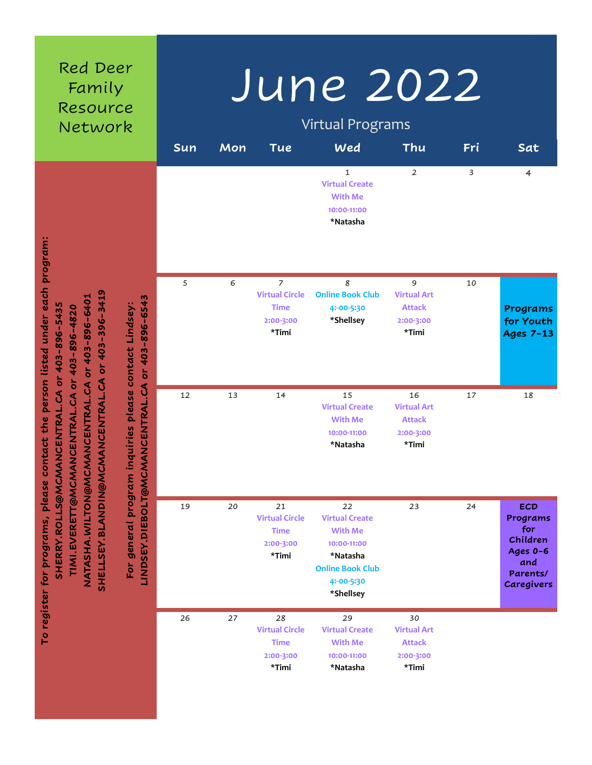| Red Deer<br>Family<br>Resource<br>Network                                                                                                                                          |     |     |                                                                              | June 2022<br><b>Virtual Programs</b>                                                                                           |                                                                 |     |                                                                                               |
|------------------------------------------------------------------------------------------------------------------------------------------------------------------------------------|-----|-----|------------------------------------------------------------------------------|--------------------------------------------------------------------------------------------------------------------------------|-----------------------------------------------------------------|-----|-----------------------------------------------------------------------------------------------|
|                                                                                                                                                                                    | Sun | Mon | <b>Tue</b>                                                                   | Wed                                                                                                                            | Thu                                                             | Fri | Sat                                                                                           |
|                                                                                                                                                                                    |     |     |                                                                              | $\mathbf{1}$<br><b>Virtual Create</b><br><b>With Me</b><br>10:00-11:00<br>*Natasha                                             | $\overline{2}$                                                  | 3   | $\overline{4}$                                                                                |
| contact the person listed under each program:<br>or 403-896-6401<br>or 403-896-6543<br>or 403-896-4820                                                                             | 5   | 6   | $\overline{7}$<br><b>Virtual Circle</b><br><b>Time</b><br>2:00-3:00<br>*Timi | 8<br><b>Online Book Club</b><br>4:-00-5:30<br>*Shellsey                                                                        | 9<br><b>Virtual Art</b><br><b>Attack</b><br>2:00-3:00<br>*Timi  | 10  | <b>Programs</b><br>for Youth<br><b>Ages 7-13</b>                                              |
| SHELLSEY.BLANDIN@MCMANCENTRAL.CA or 403-396-3419<br>inquiries please contact Lindsey:<br>MANCENTRAL.CA or 403-896-5435<br>CMANCENTRAL.CA<br>CMANCENTRAL.CA<br><b>MANCENTRAL.CA</b> | 12  | 13  | 14                                                                           | 15<br><b>Virtual Create</b><br><b>With Me</b><br>10:00-11:00<br>*Natasha                                                       | 16<br><b>Virtual Art</b><br><b>Attack</b><br>2:00-3:00<br>*Timi | 17  | 18                                                                                            |
| For general program<br><b>SHERRY.ROLLS@MC</b><br>NATASHA.WILTON@M<br><b>LINDSEY.DIEBOLT@M</b><br>TIMI.EVERETT@MCJ<br>register for programs, please                                 | 19  | 20  | 21<br><b>Virtual Circle</b><br><b>Time</b><br>2:00-3:00<br>*Timi             | 22<br><b>Virtual Create</b><br><b>With Me</b><br>10:00-11:00<br>*Natasha<br><b>Online Book Club</b><br>4:-00-5:30<br>*Shellsey | 23                                                              | 24  | <b>ECD</b><br>Programs<br>for<br>Children<br>Ages 0-6<br>and<br>Parents/<br><b>Caregivers</b> |
| ro                                                                                                                                                                                 | 26  | 27  | 28<br><b>Virtual Circle</b><br><b>Time</b><br>2:00-3:00<br>*Timi             | 29<br><b>Virtual Create</b><br><b>With Me</b><br>10:00-11:00<br>*Natasha                                                       | 30<br><b>Virtual Art</b><br><b>Attack</b><br>2:00-3:00<br>*Timi |     |                                                                                               |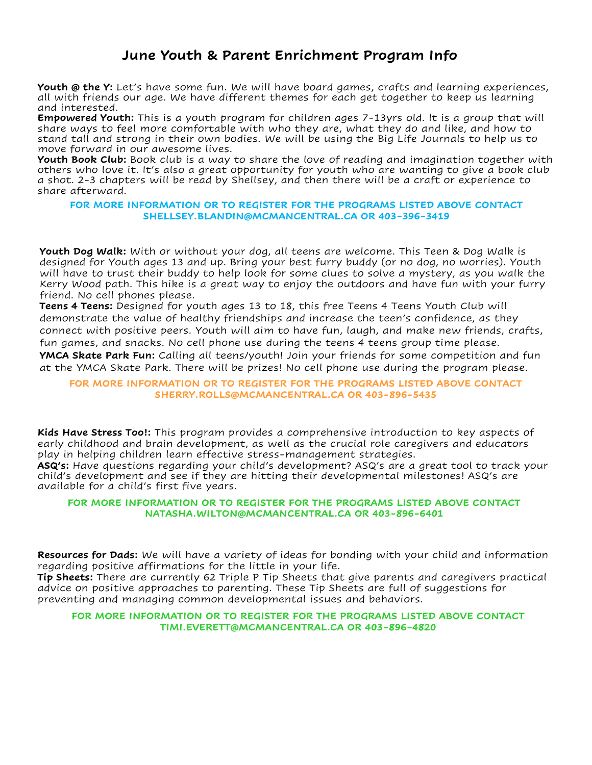# **June Youth & Parent Enrichment Program Info**

**Youth @ the Y:** Let's have some fun. We will have board games, crafts and learning experiences, all with friends our age. We have different themes for each get together to keep us learning and interested.

**Empowered Youth:** This is a youth program for children ages 7-13yrs old. It is a group that will share ways to feel more comfortable with who they are, what they do and like, and how to stand tall and strong in their own bodies. We will be using the Big Life Journals to help us to move forward in our awesome lives.

**Youth Book Club:** Book club is a way to share the love of reading and imagination together with others who love it. It's also a great opportunity for youth who are wanting to give a book club a shot. 2-3 chapters will be read by Shellsey, and then there will be a craft or experience to share afterward.

#### **FOR MORE INFORMATION OR TO REGISTER FOR THE PROGRAMS LISTED ABOVE CONTACT SHELLSEY.BLANDIN@MCMANCENTRAL.CA OR 403-396-3419**

**Youth Dog Walk:** With or without your dog, all teens are welcome. This Teen & Dog Walk is designed for Youth ages 13 and up. Bring your best furry buddy (or no dog, no worries). Youth will have to trust their buddy to help look for some clues to solve a mystery, as you walk the Kerry Wood path. This hike is a great way to enjoy the outdoors and have fun with your furry friend. No cell phones please.

**Teens 4 Teens:** Designed for youth ages 13 to 18, this free Teens 4 Teens Youth Club will demonstrate the value of healthy friendships and increase the teen's confidence, as they connect with positive peers. Youth will aim to have fun, laugh, and make new friends, crafts, fun games, and snacks. No cell phone use during the teens 4 teens group time please.

**YMCA Skate Park Fun:** Calling all teens/youth! Join your friends for some competition and fun at the YMCA Skate Park. There will be prizes! No cell phone use during the program please.

## **FOR MORE INFORMATION OR TO REGISTER FOR THE PROGRAMS LISTED ABOVE CONTACT SHERRY.ROLLS@MCMANCENTRAL.CA OR 403-896-5435**

**Kids Have Stress Too!:** This program provides a comprehensive introduction to key aspects of early childhood and brain development, as well as the crucial role caregivers and educators play in helping children learn effective stress-management strategies.

**ASQ's:** Have questions regarding your child's development? ASQ's are a great tool to track your child's development and see if they are hitting their developmental milestones! ASQ's are available for a child's first five years.

#### **FOR MORE INFORMATION OR TO REGISTER FOR THE PROGRAMS LISTED ABOVE CONTACT NATASHA.WILTON@MCMANCENTRAL.CA OR 403-896-6401**

**Resources for Dads:** We will have a variety of ideas for bonding with your child and information regarding positive affirmations for the little in your life.

**Tip Sheets:** There are currently 62 Triple P Tip Sheets that give parents and caregivers practical advice on positive approaches to parenting. These Tip Sheets are full of suggestions for preventing and managing common developmental issues and behaviors.

### **FOR MORE INFORMATION OR TO REGISTER FOR THE PROGRAMS LISTED ABOVE CONTACT TIMI.EVERETT@MCMANCENTRAL.CA OR 403-896-4820**